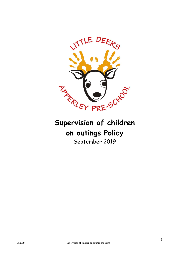

# **on outings Policy**

September 2019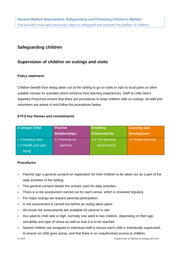# **Safeguarding children**

## **Supervision of children on outings and visits**

### **Policy statement**

Children benefit from being taken out of the setting to go on visits or trips to local parks or other suitable venues for activities which enhance their learning experiences. Staff at Little Deers Apperley Preschool ensure that there are procedures to keep children safe on outings; all staff and volunteers are aware of and follow the procedures below.

### **EYFS key themes and commitments**

| <b>A Unique Child</b> | <b>Positive</b>      | <b>Enabling</b>     | <b>Learning and</b> |
|-----------------------|----------------------|---------------------|---------------------|
|                       | <b>Relationships</b> | <b>Environments</b> | <b>Development</b>  |
| 1.3 Keeping safe      | 2.2 Parents as       | 3.3 The learning    | 4.2 Active learning |
| 1.4 Health and well-  | partners             | environment         |                     |
| being                 |                      |                     |                     |

### **Procedures**

- Parents sign a general consent on registration for their children to be taken out as a part of the daily activities of the setting.
- This general consent details the venues used for daily activities.
- There is a risk assessment carried out for each venue, which is reviewed regularly.
- For major outings we request parental participation.
- A risk assessment is carried out before an outing takes place.
- All venue risk assessments are available for parents to see.
- Our adult to child ratio is high, normally one adult to two children, depending on their age, sensibility and type of venue as well as how it is to be reached.
- Named children are assigned to individual staff to ensure each child is individually supervised, to ensure no child goes astray, and that there is no unauthorised access to children.